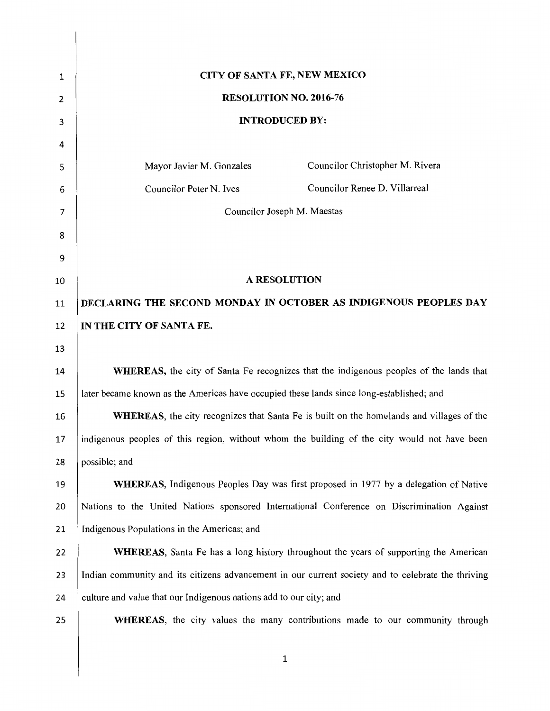| 1  | CITY OF SANTA FE, NEW MEXICO                                                                       |
|----|----------------------------------------------------------------------------------------------------|
| 2  | RESOLUTION NO. 2016-76                                                                             |
| 3  | <b>INTRODUCED BY:</b>                                                                              |
| 4  |                                                                                                    |
| 5  | Councilor Christopher M. Rivera<br>Mayor Javier M. Gonzales                                        |
| 6  | Councilor Renee D. Villarreal<br>Councilor Peter N. Ives                                           |
| 7  | Councilor Joseph M. Maestas                                                                        |
| 8  |                                                                                                    |
| 9  |                                                                                                    |
| 10 | <b>A RESOLUTION</b>                                                                                |
| 11 | DECLARING THE SECOND MONDAY IN OCTOBER AS INDIGENOUS PEOPLES DAY                                   |
| 12 | IN THE CITY OF SANTA FE.                                                                           |
| 13 |                                                                                                    |
| 14 | <b>WHEREAS</b> , the city of Santa Fe recognizes that the indigenous peoples of the lands that     |
| 15 | later became known as the Americas have occupied these lands since long-established; and           |
| 16 | <b>WHEREAS</b> , the city recognizes that Santa Fe is built on the homelands and villages of the   |
| 17 | indigenous peoples of this region, without whom the building of the city would not have been       |
| 18 | possible; and                                                                                      |
| 19 | <b>WHEREAS</b> , Indigenous Peoples Day was first proposed in 1977 by a delegation of Native       |
| 20 | Nations to the United Nations sponsored International Conference on Discrimination Against         |
| 21 | Indigenous Populations in the Americas; and                                                        |
| 22 | <b>WHEREAS</b> , Santa Fe has a long history throughout the years of supporting the American       |
| 23 | Indian community and its citizens advancement in our current society and to celebrate the thriving |
| 24 | culture and value that our Indigenous nations add to our city; and                                 |
| 25 | <b>WHEREAS</b> , the city values the many contributions made to our community through              |
|    |                                                                                                    |